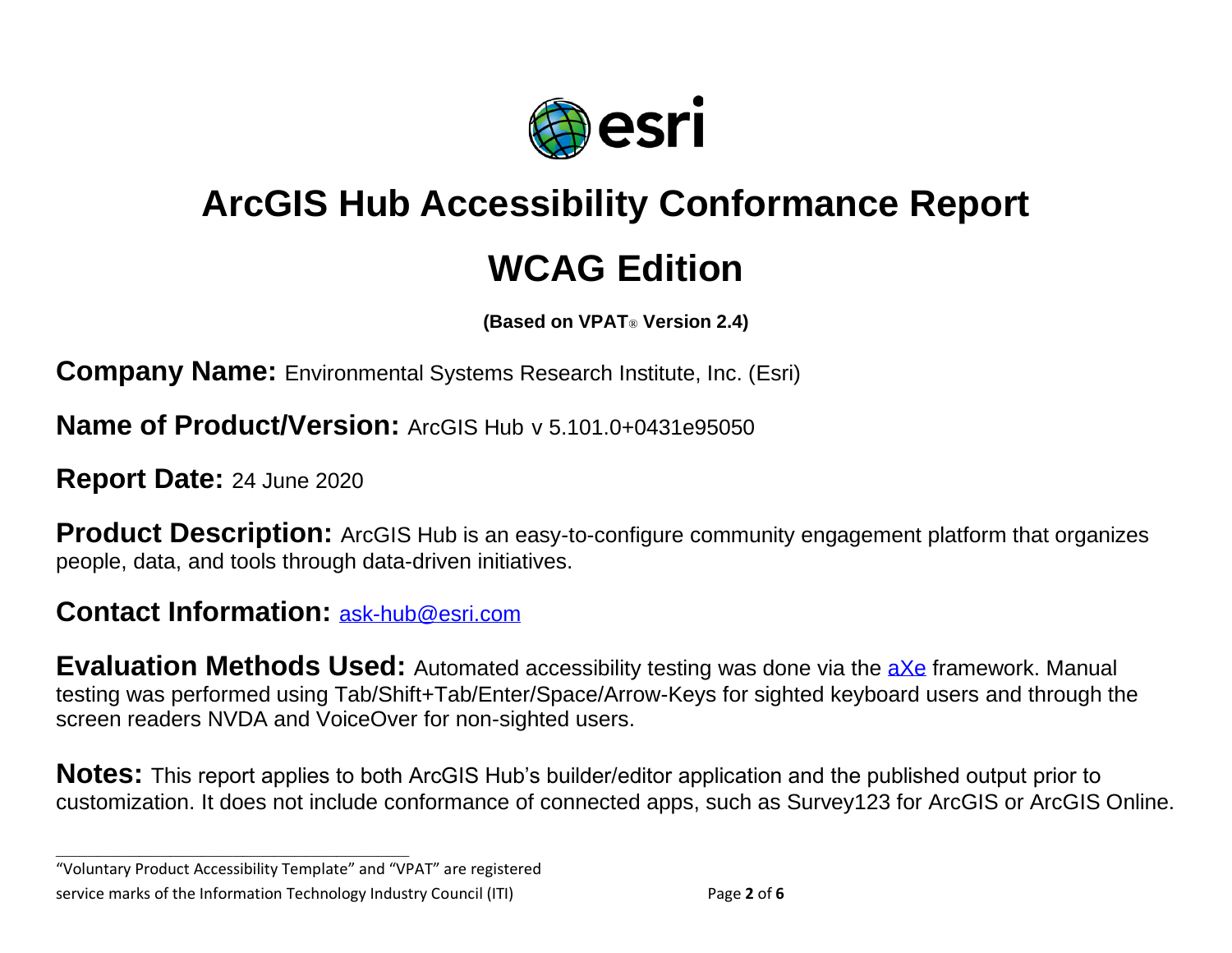

# **ArcGIS Hub Accessibility Conformance Report WCAG Edition**

**(Based on VPAT**® **Version 2.4)**

**Company Name:** Environmental Systems Research Institute, Inc. (Esri)

**Name of Product/Version:** ArcGIS Hub v 5.101.0+0431e95050

**Report Date:** 24 June 2020

**Product Description:** ArcGIS Hub is an easy-to-configure community engagement platform that organizes people, data, and tools through data-driven initiatives.

#### **Contact Information:** [ask-hub@esri.com](mailto:ask-hub@esri.com)

**Evaluation Methods Used:** Automated accessibility testing was done via the axe framework. Manual testing was performed using Tab/Shift+Tab/Enter/Space/Arrow-Keys for sighted keyboard users and through the screen readers NVDA and VoiceOver for non-sighted users.

**Notes:** This report applies to both ArcGIS Hub's builder/editor application and the published output prior to customization. It does not include conformance of connected apps, such as Survey123 for ArcGIS or ArcGIS Online.

**\_\_\_\_\_\_\_\_\_\_\_\_\_\_\_\_\_\_\_\_\_\_\_\_\_\_\_\_\_\_\_\_\_\_**

<sup>&</sup>quot;Voluntary Product Accessibility Template" and "VPAT" are registered service marks of the Information Technology Industry Council (ITI) Page **2** of **6**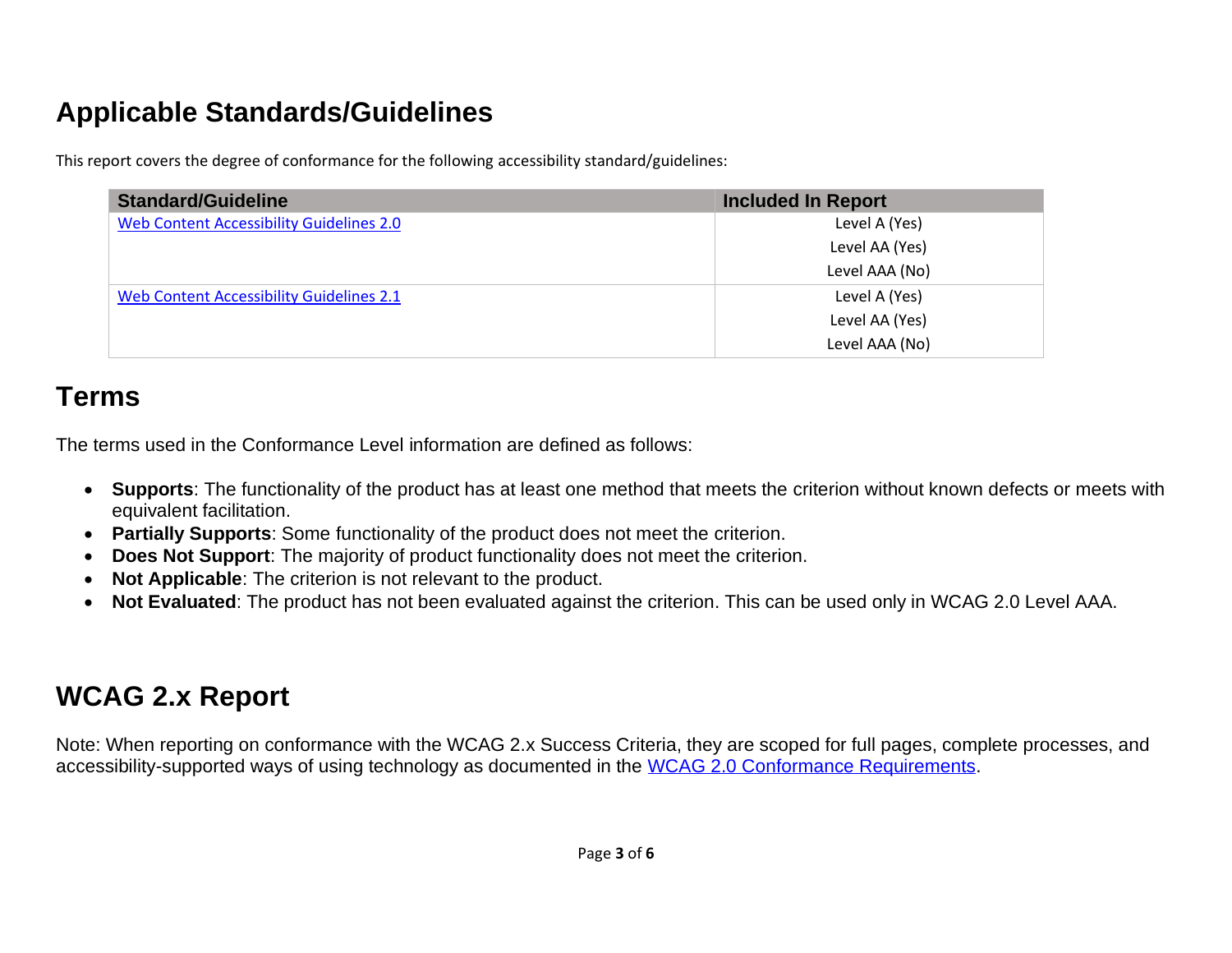# **Applicable Standards/Guidelines**

This report covers the degree of conformance for the following accessibility standard/guidelines:

| <b>Standard/Guideline</b>                       | <b>Included In Report</b> |
|-------------------------------------------------|---------------------------|
| <b>Web Content Accessibility Guidelines 2.0</b> | Level A (Yes)             |
|                                                 | Level AA (Yes)            |
|                                                 | Level AAA (No)            |
| Web Content Accessibility Guidelines 2.1        | Level A (Yes)             |
|                                                 | Level AA (Yes)            |
|                                                 | Level AAA (No)            |

### **Terms**

The terms used in the Conformance Level information are defined as follows:

- **Supports**: The functionality of the product has at least one method that meets the criterion without known defects or meets with equivalent facilitation.
- **Partially Supports**: Some functionality of the product does not meet the criterion.
- **Does Not Support**: The majority of product functionality does not meet the criterion.
- **Not Applicable**: The criterion is not relevant to the product.
- **Not Evaluated**: The product has not been evaluated against the criterion. This can be used only in WCAG 2.0 Level AAA.

# **WCAG 2.x Report**

Note: When reporting on conformance with the WCAG 2.x Success Criteria, they are scoped for full pages, complete processes, and accessibility-supported ways of using technology as documented in the [WCAG 2.0 Conformance Requirements.](https://www.w3.org/TR/WCAG20/#conformance-reqs)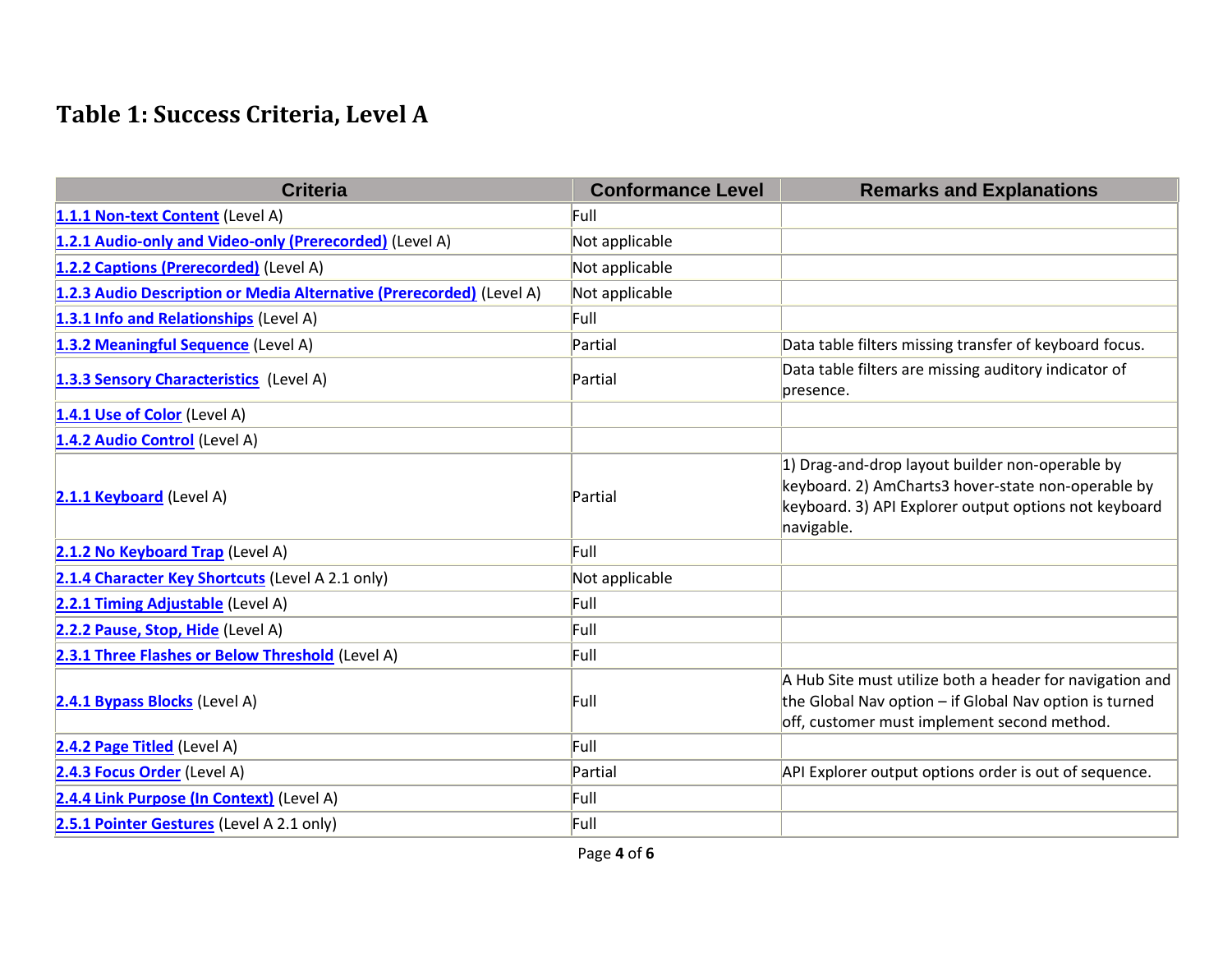#### **Table 1: Success Criteria, Level A**

| <b>Criteria</b>                                                      | <b>Conformance Level</b> | <b>Remarks and Explanations</b>                                                                                                                                              |
|----------------------------------------------------------------------|--------------------------|------------------------------------------------------------------------------------------------------------------------------------------------------------------------------|
| 1.1.1 Non-text Content (Level A)                                     | Full                     |                                                                                                                                                                              |
| 1.2.1 Audio-only and Video-only (Prerecorded) (Level A)              | Not applicable           |                                                                                                                                                                              |
| 1.2.2 Captions (Prerecorded) (Level A)                               | Not applicable           |                                                                                                                                                                              |
| 1.2.3 Audio Description or Media Alternative (Prerecorded) (Level A) | Not applicable           |                                                                                                                                                                              |
| 1.3.1 Info and Relationships (Level A)                               | Full                     |                                                                                                                                                                              |
| 1.3.2 Meaningful Sequence (Level A)                                  | Partial                  | Data table filters missing transfer of keyboard focus.                                                                                                                       |
| 1.3.3 Sensory Characteristics (Level A)                              | Partial                  | Data table filters are missing auditory indicator of<br>presence.                                                                                                            |
| 1.4.1 Use of Color (Level A)                                         |                          |                                                                                                                                                                              |
| 1.4.2 Audio Control (Level A)                                        |                          |                                                                                                                                                                              |
| 2.1.1 Keyboard (Level A)                                             | Partial                  | 1) Drag-and-drop layout builder non-operable by<br>keyboard. 2) AmCharts3 hover-state non-operable by<br>keyboard. 3) API Explorer output options not keyboard<br>navigable. |
| 2.1.2 No Keyboard Trap (Level A)                                     | Full                     |                                                                                                                                                                              |
| 2.1.4 Character Key Shortcuts (Level A 2.1 only)                     | Not applicable           |                                                                                                                                                                              |
| 2.2.1 Timing Adjustable (Level A)                                    | Full                     |                                                                                                                                                                              |
| 2.2.2 Pause, Stop, Hide (Level A)                                    | Full                     |                                                                                                                                                                              |
| 2.3.1 Three Flashes or Below Threshold (Level A)                     | Full                     |                                                                                                                                                                              |
| 2.4.1 Bypass Blocks (Level A)                                        | Full                     | A Hub Site must utilize both a header for navigation and<br>the Global Nav option - if Global Nav option is turned<br>off, customer must implement second method.            |
| 2.4.2 Page Titled (Level A)                                          | Full                     |                                                                                                                                                                              |
| 2.4.3 Focus Order (Level A)                                          | Partial                  | API Explorer output options order is out of sequence.                                                                                                                        |
| 2.4.4 Link Purpose (In Context) (Level A)                            | Full                     |                                                                                                                                                                              |
| 2.5.1 Pointer Gestures (Level A 2.1 only)                            | Full                     |                                                                                                                                                                              |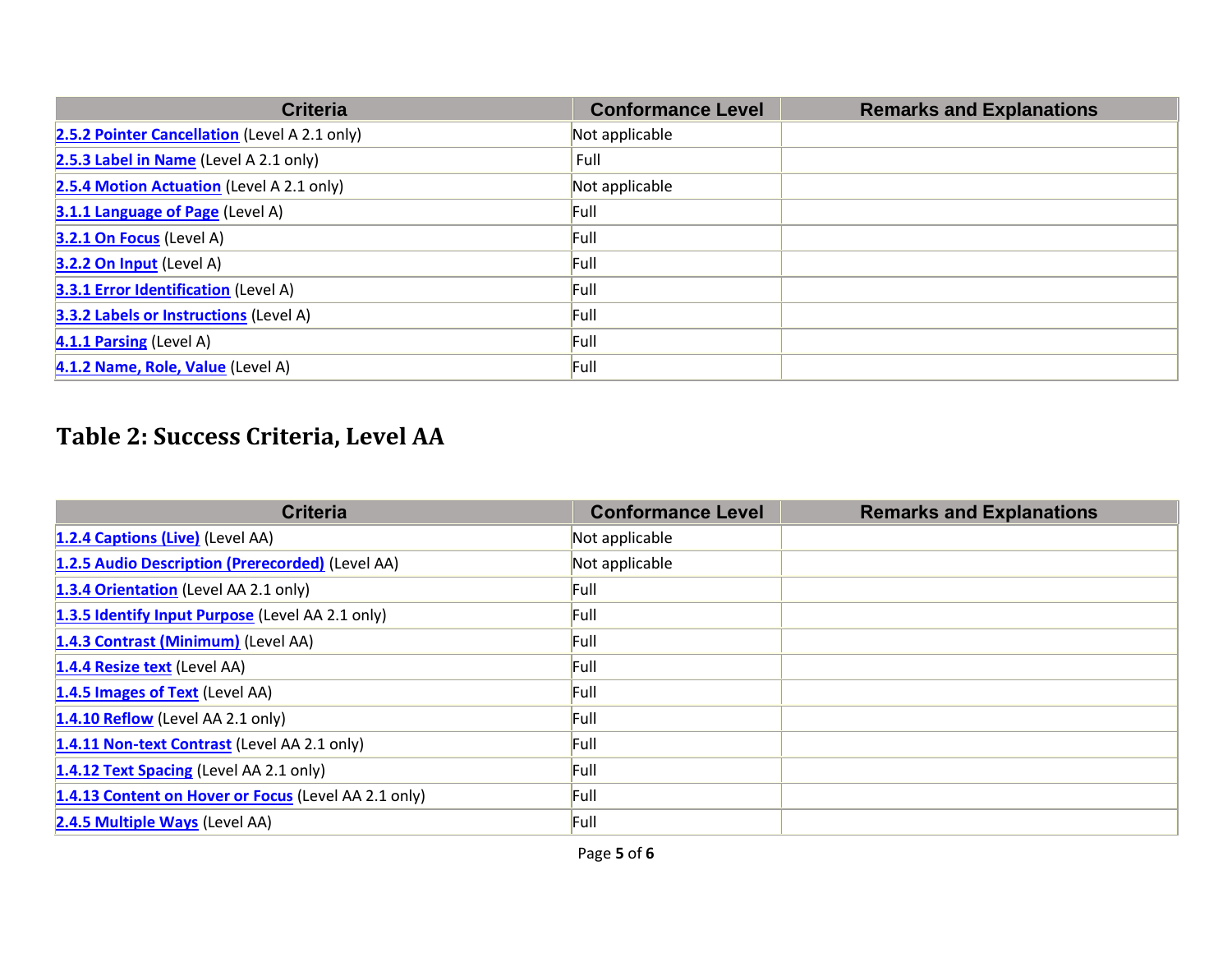| <b>Criteria</b>                               | <b>Conformance Level</b> | <b>Remarks and Explanations</b> |
|-----------------------------------------------|--------------------------|---------------------------------|
| 2.5.2 Pointer Cancellation (Level A 2.1 only) | Not applicable           |                                 |
| 2.5.3 Label in Name (Level A 2.1 only)        | Full                     |                                 |
| 2.5.4 Motion Actuation (Level A 2.1 only)     | Not applicable           |                                 |
| <b>3.1.1 Language of Page (Level A)</b>       | Full                     |                                 |
| 3.2.1 On Focus (Level A)                      | Full                     |                                 |
| 3.2.2 On Input (Level A)                      | Full                     |                                 |
| <b>3.3.1 Error Identification (Level A)</b>   | Full                     |                                 |
| <b>3.3.2 Labels or Instructions (Level A)</b> | Full                     |                                 |
| 4.1.1 Parsing (Level A)                       | Full                     |                                 |
| 4.1.2 Name, Role, Value (Level A)             | Full                     |                                 |

#### **Table 2: Success Criteria, Level AA**

| <b>Criteria</b>                                      | <b>Conformance Level</b> | <b>Remarks and Explanations</b> |
|------------------------------------------------------|--------------------------|---------------------------------|
| 1.2.4 Captions (Live) (Level AA)                     | Not applicable           |                                 |
| 1.2.5 Audio Description (Prerecorded) (Level AA)     | Not applicable           |                                 |
| 1.3.4 Orientation (Level AA 2.1 only)                | Full                     |                                 |
| 1.3.5 Identify Input Purpose (Level AA 2.1 only)     | Full                     |                                 |
| 1.4.3 Contrast (Minimum) (Level AA)                  | Full                     |                                 |
| 1.4.4 Resize text (Level AA)                         | Full                     |                                 |
| 1.4.5 Images of Text (Level AA)                      | Full                     |                                 |
| 1.4.10 Reflow (Level AA 2.1 only)                    | Full                     |                                 |
| 1.4.11 Non-text Contrast (Level AA 2.1 only)         | Full                     |                                 |
| 1.4.12 Text Spacing (Level AA 2.1 only)              | Full                     |                                 |
| 1.4.13 Content on Hover or Focus (Level AA 2.1 only) | Full                     |                                 |
| 2.4.5 Multiple Ways (Level AA)                       | Full                     |                                 |